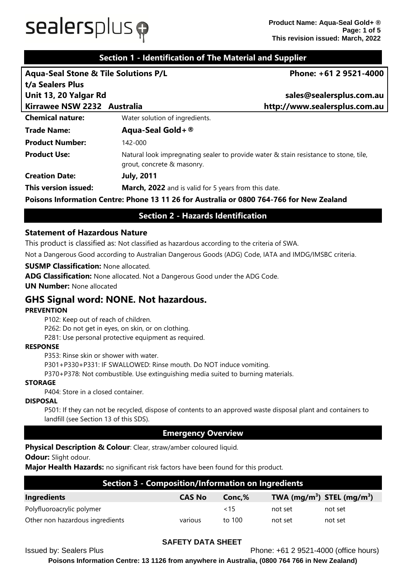# $s$ ealersplus $\phi$

# **Section 1 - Identification of The Material and Supplier**

| <b>Aqua-Seal Stone &amp; Tile Solutions P/L</b> |                                | Phone: +61 2 9521-4000                                                                   |
|-------------------------------------------------|--------------------------------|------------------------------------------------------------------------------------------|
| t/a Sealers Plus                                |                                |                                                                                          |
| Unit 13, 20 Yalgar Rd                           |                                | sales@sealersplus.com.au                                                                 |
| Kirrawee NSW 2232 Australia                     |                                | http://www.sealersplus.com.au                                                            |
| <b>Chemical nature:</b>                         | Water solution of ingredients. |                                                                                          |
| <b>Trade Name:</b>                              | Aqua-Seal Gold + $\circledR$   |                                                                                          |
| <b>Product Number:</b>                          | 142-000                        |                                                                                          |
| <b>Product Use:</b>                             | grout, concrete & masonry.     | Natural look impregnating sealer to provide water & stain resistance to stone, tile,     |
| <b>Creation Date:</b>                           | <b>July, 2011</b>              |                                                                                          |
| This version issued:                            |                                | <b>March, 2022</b> and is valid for 5 years from this date.                              |
|                                                 |                                | Poisons Information Centre: Phone 13 11 26 for Australia or 0800 764-766 for New Zealand |

# **Section 2 - Hazards Identification**

### **Statement of Hazardous Nature**

This product is classified as: Not classified as hazardous according to the criteria of SWA.

Not a Dangerous Good according to Australian Dangerous Goods (ADG) Code, IATA and IMDG/IMSBC criteria.

### **SUSMP Classification:** None allocated.

**ADG Classification:** None allocated. Not a Dangerous Good under the ADG Code.

**UN Number:** None allocated

# **GHS Signal word: NONE. Not hazardous.**

### **PREVENTION**

P102: Keep out of reach of children.

P262: Do not get in eyes, on skin, or on clothing.

P281: Use personal protective equipment as required.

### **RESPONSE**

P353: Rinse skin or shower with water.

P301+P330+P331: IF SWALLOWED: Rinse mouth. Do NOT induce vomiting.

P370+P378: Not combustible. Use extinguishing media suited to burning materials.

### **STORAGE**

P404: Store in a closed container.

### **DISPOSAL**

P501: If they can not be recycled, dispose of contents to an approved waste disposal plant and containers to landfill (see Section 13 of this SDS).

### **Emergency Overview**

**Physical Description & Colour:** Clear, straw/amber coloured liquid.

**Odour:** Slight odour.

**Major Health Hazards:** no significant risk factors have been found for this product.

| <b>Section 3 - Composition/Information on Ingredients</b> |               |        |                                |         |  |
|-----------------------------------------------------------|---------------|--------|--------------------------------|---------|--|
| <b>Ingredients</b>                                        | <b>CAS No</b> | Conc,% | TWA $(mg/m^3)$ STEL $(mg/m^3)$ |         |  |
| Polyfluoroacrylic polymer                                 |               | ~15    | not set                        | not set |  |
| Other non hazardous ingredients                           | various       | to 100 | not set                        | not set |  |

### **SAFETY DATA SHEET**

Issued by: Sealers Plus Phone: +61 2 9521-4000 (office hours)

**Poisons Information Centre: 13 1126 from anywhere in Australia, (0800 764 766 in New Zealand)**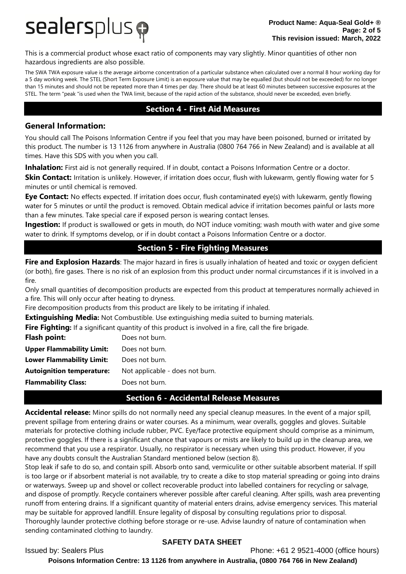

This is a commercial product whose exact ratio of components may vary slightly. Minor quantities of other non hazardous ingredients are also possible.

The SWA TWA exposure value is the average airborne concentration of a particular substance when calculated over a normal 8 hour working day for a 5 day working week. The STEL (Short Term Exposure Limit) is an exposure value that may be equalled (but should not be exceeded) for no longer than 15 minutes and should not be repeated more than 4 times per day. There should be at least 60 minutes between successive exposures at the STEL. The term "peak "is used when the TWA limit, because of the rapid action of the substance, should never be exceeded, even briefly.

# **Section 4 - First Aid Measures**

### **General Information:**

You should call The Poisons Information Centre if you feel that you may have been poisoned, burned or irritated by this product. The number is 13 1126 from anywhere in Australia (0800 764 766 in New Zealand) and is available at all times. Have this SDS with you when you call.

**Inhalation:** First aid is not generally required. If in doubt, contact a Poisons Information Centre or a doctor.

**Skin Contact:** Irritation is unlikely. However, if irritation does occur, flush with lukewarm, gently flowing water for 5 minutes or until chemical is removed.

**Eye Contact:** No effects expected. If irritation does occur, flush contaminated eye(s) with lukewarm, gently flowing water for 5 minutes or until the product is removed. Obtain medical advice if irritation becomes painful or lasts more than a few minutes. Take special care if exposed person is wearing contact lenses.

**Ingestion:** If product is swallowed or gets in mouth, do NOT induce vomiting; wash mouth with water and give some water to drink. If symptoms develop, or if in doubt contact a Poisons Information Centre or a doctor.

# **Section 5 - Fire Fighting Measures**

**Fire and Explosion Hazards**: The major hazard in fires is usually inhalation of heated and toxic or oxygen deficient (or both), fire gases. There is no risk of an explosion from this product under normal circumstances if it is involved in a fire.

Only small quantities of decomposition products are expected from this product at temperatures normally achieved in a fire. This will only occur after heating to dryness.

Fire decomposition products from this product are likely to be irritating if inhaled.

**Extinguishing Media:** Not Combustible. Use extinguishing media suited to burning materials.

**Fire Fighting:** If a significant quantity of this product is involved in a fire, call the fire brigade.

| Flash point:                     | Does not burn.                  |
|----------------------------------|---------------------------------|
| <b>Upper Flammability Limit:</b> | Does not burn.                  |
| <b>Lower Flammability Limit:</b> | Does not burn.                  |
| <b>Autoignition temperature:</b> | Not applicable - does not burn. |
| <b>Flammability Class:</b>       | Does not burn.                  |

# **Section 6 - Accidental Release Measures**

**Accidental release:** Minor spills do not normally need any special cleanup measures. In the event of a major spill, prevent spillage from entering drains or water courses. As a minimum, wear overalls, goggles and gloves. Suitable materials for protective clothing include rubber, PVC. Eye/face protective equipment should comprise as a minimum, protective goggles. If there is a significant chance that vapours or mists are likely to build up in the cleanup area, we recommend that you use a respirator. Usually, no respirator is necessary when using this product. However, if you have any doubts consult the Australian Standard mentioned below (section 8).

Stop leak if safe to do so, and contain spill. Absorb onto sand, vermiculite or other suitable absorbent material. If spill is too large or if absorbent material is not available, try to create a dike to stop material spreading or going into drains or waterways. Sweep up and shovel or collect recoverable product into labelled containers for recycling or salvage, and dispose of promptly. Recycle containers wherever possible after careful cleaning. After spills, wash area preventing runoff from entering drains. If a significant quantity of material enters drains, advise emergency services. This material may be suitable for approved landfill. Ensure legality of disposal by consulting regulations prior to disposal. Thoroughly launder protective clothing before storage or re-use. Advise laundry of nature of contamination when sending contaminated clothing to laundry.

### **SAFETY DATA SHEET**

Issued by: Sealers Plus Phone: +61 2 9521-4000 (office hours)

**Poisons Information Centre: 13 1126 from anywhere in Australia, (0800 764 766 in New Zealand)**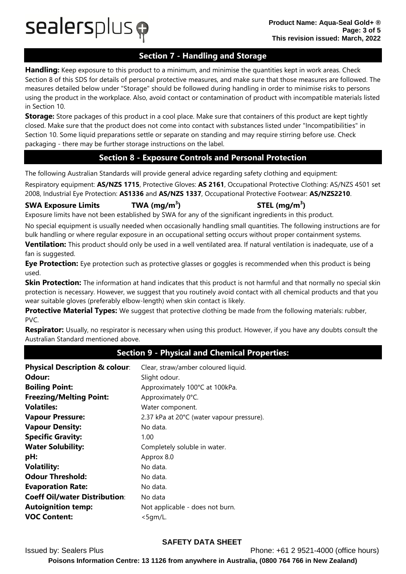sealersplus p

# **Section 7 - Handling and Storage**

**Handling:** Keep exposure to this product to a minimum, and minimise the quantities kept in work areas. Check Section 8 of this SDS for details of personal protective measures, and make sure that those measures are followed. The measures detailed below under "Storage" should be followed during handling in order to minimise risks to persons using the product in the workplace. Also, avoid contact or contamination of product with incompatible materials listed in Section 10.

**Storage:** Store packages of this product in a cool place. Make sure that containers of this product are kept tightly closed. Make sure that the product does not come into contact with substances listed under "Incompatibilities" in Section 10. Some liquid preparations settle or separate on standing and may require stirring before use. Check packaging - there may be further storage instructions on the label.

# **Section 8 - Exposure Controls and Personal Protection**

The following Australian Standards will provide general advice regarding safety clothing and equipment:

Respiratory equipment: **AS/NZS 1715**, Protective Gloves: **AS 2161**, Occupational Protective Clothing: AS/NZS 4501 set 2008, Industrial Eye Protection: **AS1336** and **AS/NZS 1337**, Occupational Protective Footwear: **AS/NZS2210**.

### **SWA Exposure Limits TWA (mg/m<sup>3</sup>**

**) STEL (mg/m<sup>3</sup> )**

Exposure limits have not been established by SWA for any of the significant ingredients in this product.

No special equipment is usually needed when occasionally handling small quantities. The following instructions are for bulk handling or where regular exposure in an occupational setting occurs without proper containment systems.

**Ventilation:** This product should only be used in a well ventilated area. If natural ventilation is inadequate, use of a fan is suggested.

**Eye Protection:** Eye protection such as protective glasses or goggles is recommended when this product is being used.

**Skin Protection:** The information at hand indicates that this product is not harmful and that normally no special skin protection is necessary. However, we suggest that you routinely avoid contact with all chemical products and that you wear suitable gloves (preferably elbow-length) when skin contact is likely.

**Protective Material Types:** We suggest that protective clothing be made from the following materials: rubber, PVC.

**Respirator:** Usually, no respirator is necessary when using this product. However, if you have any doubts consult the Australian Standard mentioned above.

# **Section 9 - Physical and Chemical Properties:**

| Physical Description & colour:<br>Odour:<br><b>Boiling Point:</b> | Clear, straw/amber coloured liquid.<br>Slight odour.<br>Approximately 100°C at 100kPa. |
|-------------------------------------------------------------------|----------------------------------------------------------------------------------------|
| <b>Freezing/Melting Point:</b>                                    | Approximately 0°C.                                                                     |
| <b>Volatiles:</b>                                                 | Water component.                                                                       |
| <b>Vapour Pressure:</b>                                           | 2.37 kPa at 20°C (water vapour pressure).                                              |
| <b>Vapour Density:</b>                                            | No data.                                                                               |
| <b>Specific Gravity:</b>                                          | 1.00                                                                                   |
| <b>Water Solubility:</b>                                          | Completely soluble in water.                                                           |
| pH:                                                               | Approx 8.0                                                                             |
| <b>Volatility:</b>                                                | No data.                                                                               |
| <b>Odour Threshold:</b>                                           | No data.                                                                               |
| <b>Evaporation Rate:</b>                                          | No data.                                                                               |
| <b>Coeff Oil/water Distribution:</b>                              | No data                                                                                |
| <b>Autoignition temp:</b>                                         | Not applicable - does not burn.                                                        |
| <b>VOC Content:</b>                                               | <5gm/L.                                                                                |

# **SAFETY DATA SHEET**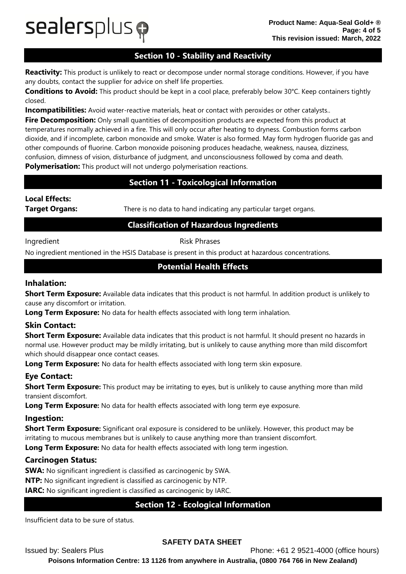# $s$ ealersplus $\boldsymbol{\varphi}$

# **Section 10 - Stability and Reactivity**

**Reactivity:** This product is unlikely to react or decompose under normal storage conditions. However, if you have any doubts, contact the supplier for advice on shelf life properties.

**Conditions to Avoid:** This product should be kept in a cool place, preferably below 30°C. Keep containers tightly closed.

**Incompatibilities:** Avoid water-reactive materials, heat or contact with peroxides or other catalysts..

**Fire Decomposition:** Only small quantities of decomposition products are expected from this product at temperatures normally achieved in a fire. This will only occur after heating to dryness. Combustion forms carbon dioxide, and if incomplete, carbon monoxide and smoke. Water is also formed. May form hydrogen fluoride gas and other compounds of fluorine. Carbon monoxide poisoning produces headache, weakness, nausea, dizziness, confusion, dimness of vision, disturbance of judgment, and unconsciousness followed by coma and death.

**Polymerisation:** This product will not undergo polymerisation reactions.

# **Section 11 - Toxicological Information**

# **Local Effects:**

**Target Organs:** There is no data to hand indicating any particular target organs.

# **Classification of Hazardous Ingredients**

Ingredient **Risk Phrases** 

No ingredient mentioned in the HSIS Database is present in this product at hazardous concentrations.

# **Potential Health Effects**

### **Inhalation:**

**Short Term Exposure:** Available data indicates that this product is not harmful. In addition product is unlikely to cause any discomfort or irritation.

**Long Term Exposure:** No data for health effects associated with long term inhalation.

# **Skin Contact:**

**Short Term Exposure:** Available data indicates that this product is not harmful. It should present no hazards in normal use. However product may be mildly irritating, but is unlikely to cause anything more than mild discomfort which should disappear once contact ceases.

**Long Term Exposure:** No data for health effects associated with long term skin exposure.

# **Eye Contact:**

**Short Term Exposure:** This product may be irritating to eyes, but is unlikely to cause anything more than mild transient discomfort.

**Long Term Exposure:** No data for health effects associated with long term eye exposure.

### **Ingestion:**

**Short Term Exposure:** Significant oral exposure is considered to be unlikely. However, this product may be irritating to mucous membranes but is unlikely to cause anything more than transient discomfort.

**Long Term Exposure:** No data for health effects associated with long term ingestion.

# **Carcinogen Status:**

**SWA:** No significant ingredient is classified as carcinogenic by SWA.

**NTP:** No significant ingredient is classified as carcinogenic by NTP.

**IARC:** No significant ingredient is classified as carcinogenic by IARC.

# **Section 12 - Ecological Information**

Insufficient data to be sure of status.

# **SAFETY DATA SHEET**

Issued by: Sealers Plus Phone: +61 2 9521-4000 (office hours) **Poisons Information Centre: 13 1126 from anywhere in Australia, (0800 764 766 in New Zealand)**